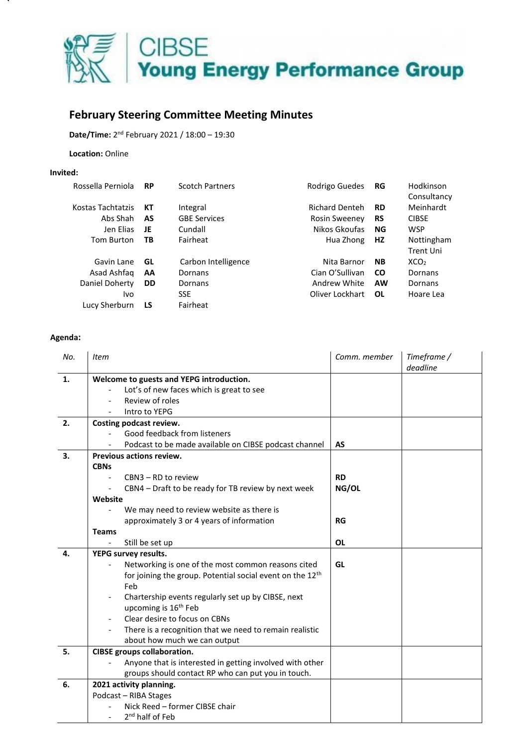

## **February Steering Committee Meeting Minutes**

**Date/Time:** 2 nd February 2021 / 18:00 – 19:30

**Location:** Online

## **Invited:**

| Rossella Perniola | <b>RP</b> | <b>Scotch Partners</b> | Rodrigo Guedes        | RG        | Hodkinson<br>Consultancy |
|-------------------|-----------|------------------------|-----------------------|-----------|--------------------------|
| Kostas Tachtatzis | КT        | Integral               | <b>Richard Denteh</b> | <b>RD</b> | Meinhardt                |
| Abs Shah          | AS        | <b>GBE Services</b>    | <b>Rosin Sweeney</b>  | <b>RS</b> | <b>CIBSE</b>             |
| Jen Elias         | JE        | Cundall                | Nikos Gkoufas         | ΝG        | <b>WSP</b>               |
| <b>Tom Burton</b> | ТB        | Fairheat               | Hua Zhong             | HZ        | Nottingham               |
|                   |           |                        |                       |           | <b>Trent Uni</b>         |
| Gavin Lane        | GL        | Carbon Intelligence    | Nita Barnor           | <b>NB</b> | XCO <sub>2</sub>         |
| Asad Ashfag       | AA        | Dornans                | Cian O'Sullivan       | <b>CO</b> | Dornans                  |
| Daniel Doherty    | <b>DD</b> | Dornans                | Andrew White          | AW        | Dornans                  |
| Ivo               |           | <b>SSE</b>             | Oliver Lockhart       | OL        | Hoare Lea                |
| Lucy Sherburn     | LS        | Fairheat               |                       |           |                          |
|                   |           |                        |                       |           |                          |

## **Agenda:**

| No. | <b>Item</b>                                                           | Comm. member | Timeframe /<br>deadline |  |  |
|-----|-----------------------------------------------------------------------|--------------|-------------------------|--|--|
| 1.  | Welcome to guests and YEPG introduction.                              |              |                         |  |  |
|     | Lot's of new faces which is great to see                              |              |                         |  |  |
|     | Review of roles                                                       |              |                         |  |  |
|     | Intro to YEPG                                                         |              |                         |  |  |
| 2.  | Costing podcast review.                                               |              |                         |  |  |
|     | Good feedback from listeners                                          |              |                         |  |  |
|     | Podcast to be made available on CIBSE podcast channel                 | AS           |                         |  |  |
| 3.  | Previous actions review.                                              |              |                         |  |  |
|     | <b>CBNs</b>                                                           |              |                         |  |  |
|     | CBN3 - RD to review                                                   | <b>RD</b>    |                         |  |  |
|     | CBN4 – Draft to be ready for TB review by next week                   | NG/OL        |                         |  |  |
|     | Website                                                               |              |                         |  |  |
|     | We may need to review website as there is                             |              |                         |  |  |
|     | approximately 3 or 4 years of information                             | RG           |                         |  |  |
|     | <b>Teams</b>                                                          |              |                         |  |  |
|     | Still be set up                                                       | <b>OL</b>    |                         |  |  |
| 4.  | YEPG survey results.                                                  |              |                         |  |  |
|     | Networking is one of the most common reasons cited                    | GL           |                         |  |  |
|     | for joining the group. Potential social event on the 12 <sup>th</sup> |              |                         |  |  |
|     | Feb                                                                   |              |                         |  |  |
|     | Chartership events regularly set up by CIBSE, next                    |              |                         |  |  |
|     | upcoming is 16 <sup>th</sup> Feb                                      |              |                         |  |  |
|     | Clear desire to focus on CBNs                                         |              |                         |  |  |
|     | There is a recognition that we need to remain realistic               |              |                         |  |  |
|     | about how much we can output                                          |              |                         |  |  |
| 5.  | <b>CIBSE groups collaboration.</b>                                    |              |                         |  |  |
|     | Anyone that is interested in getting involved with other              |              |                         |  |  |
|     | groups should contact RP who can put you in touch.                    |              |                         |  |  |
| 6.  | 2021 activity planning.                                               |              |                         |  |  |
|     | Podcast - RIBA Stages                                                 |              |                         |  |  |
|     | Nick Reed - former CIBSE chair                                        |              |                         |  |  |
|     | 2 <sup>nd</sup> half of Feb                                           |              |                         |  |  |